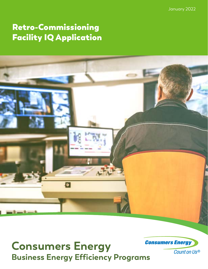January 2022

# Retro-Commissioning Facility IQ Application



# **Consumers Energy Business Energy Efficiency Programs**

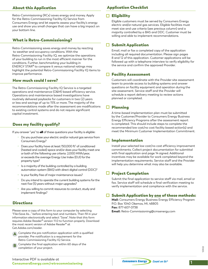## About this Application

Retro-Commissioning (RCx) saves energy and money. Apply for the Retro-Commissioning Facility IQ Service from Consumers Energy and let experts assess your facility's energy use and show you small changes that can have a big impact on your bottom line.

## What is Retro-Commissioning?

Retro-Commissioning saves energy and money by reacting to weather and occupancy conditions. With the Retro-Commissioning Facility IQ, we optimize the operations of your building to run in the most efficient manner for the conditions. Further, benchmarking your building in ENERGY STAR® to compare it versus national ratings may highlight the potential Retro-Commissioning Facility IQ items to improve performance.

## How much could I save?

The Retro-Commissioning Facility IQ Service is a targeted operations and maintenance (O&M) based efficiency service. Operations and maintenance based investigations have routinely delivered paybacks for customers in two (2) years or less and savings of up to 15% or more. The majority of the recommendations made after the assessment are modifications to existing control systems and do not require significant capital investment.

## Does my facility qualify?

If you answer "yes" to all of these questions your facility is eligible:

- Do you purchase your electric and/or natural gas service from Consumers Energy?
- Does your facility have at least 150,000  $ft<sup>2</sup>$  of conditioned (heated and cooled) space and/or does your facility meet one or both of the following use criteria: 2,000 MWh/year, or exceeds the average Energy Use Index (EUI) for the property type?
- Is a majority of the building controlled by a building automation system (BAS) with direct digital control (DDC)?
- Is your facility free of major maintenance issues?
- Do you intend to operate the current building systems for the next five (5) years without major upgrades?
- Are you willing to commit resources to conduct, study and implement findings?

## **Directions**

Please save a copy of this form to your computer by selecting "File>Save As..." before entering text and numbers. Then fill in your information electronically and select "Save". Note that this form requires Adobe Reader® version 11.0 to function properly. Download the most recent version of Adobe Reader® at Get.Adobe.com/reader.



**A** Complete the pre-notification application with a qualified provider. Pre-notification is a requirement for the Retro-Commissioning Facility IQ Service.

Complete the final application within 60 days of the completion of your project.

# Application Checklist

## $\Box$  Eligibility

Eligible customers must be served by Consumers Energy electric and/or natural gas services. Eligible facilities must meet size and use criteria (see previous column) and a majority controlled by a BAS and DDC. Customer must be willing and able to implement recommendations.

## $\Box$  Submit Application

Email, mail or fax a completed copy of the application including all required documentation. Please sign pages 8 and 12 of this application. Customer applications will be followed up with a telephone interview to verify eligibility for the service and confirm the approved Provider.

## **□ Facility Assessment**

Customers will coordinate with the Provider site assessment team to provide access to building systems and answer questions on facility equipment and operation during the site assessment. Service staff and the Provider will schedule a report delivery meeting to review actions planned or completed.

## $\square$  Planning

A time-based implementation plan must be submitted by the Customer/Provider to Consumers Energy Business Energy Efficiency Programs after the assessment report is completed. This should include steps to complete the recommended low cost/no cost facility based action(s) and meet the Minimum Customer Implementation Commitment.

## $\Box$  Implementation

Install your selected low cost/no cost efficiency improvement commitments. Collect project documentation for submittal with final application and page 14 signed. Additional incentives may be available for work completed beyond the implementation requirements. Service staff and the Provider will help you determine what may also be available.

# $\Box$  Project Completion

Submit the final application to service staff via mail, email or fax. Service staff will schedule a final verification meeting to verify implementation and compliance with the service.

# $\Box$  Submit Application by <u>one</u> of these methods:

**Mail:** Consumers Energy Business Energy Efficiency Program P.O. Box 1040 Okemos, MI, 48805 **Fax:** 877-607-0738

**Email:** Retro-Commissioning@cmsenergy.com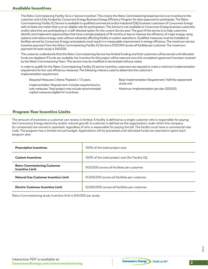## Available Incentives

- The Retro-Commissioning Facility IQ is a "service-incentive". This means the Retro-Commissioning based service is an incentive to the customer and is fully funded by Consumers Energy Business Energy Efficiency Program for sites approved to participate. The Retro-Commissioning Facility IQ Service is available to qualified commercial and/or industrial (C&I) business customers of Consumers Energy with at least one meter that is on an eligible rate for participation. This Service is not available to Consumers Energy business customers and/or sites that are participating in a self-directed option for the current Service year. The goal of this service is to help customers identify and implement opportunities that have a simple payback of 18 months or less to improve the efficiency of major energy-using systems and reduce energy costs without adversely affecting facility or system operations. Qualified measures must be installed at facilities served by Consumers Energy and projects must result in a measurable improvement in energy efficiency. The maximum service incentive payment from the Retro-Commissioning Facility IQ Service is \$120,000 across all facilities per customer. The maximum payment for each study is \$40,000.
- The customer understands that the Retro-Commissioning Service has limited funding and that customers will be served until allocated funds are depleted. If funds are available, the incentive for this project will be reserved once this completed agreement has been received by the Retro-Commissioning Team. This service may be modified or terminated without notice.
- In order to qualify for the Retro-Commissioning Facility IQ service incentive, customers are required to meet a minimum implementation requirement for low cost efficiency measures. The following criteria is used to determine the customer's implementation requirement:
	- Required Measures Criteria: Payback ≤ 1.5 years.
	- Implementation Requirement: Includes required low/no cost measures. Total project may include recommended capital measures eligible for incentives.
- Base Implementation Requirement: Half the assessment study cost.
- Maximum Implementation per site: \$20,000.

## Program Year Incentive Limits

The amount of incentives a customer can receive is limited. A facility is defined as a single customer who is responsible for paying the Consumers Energy electricity and/or natural gas bill. A customer is defined as the organization under which the company (or companies) are owned or operated, regardless of who is responsible for paying the bill. The facility must have a commercial rate code. The program has a limited annual budget. Applications will be processed until allocated funds are reserved or spent each program year.

| <b>Prescriptive Incentives</b>                                | 100% of the total project cost.                   |  |
|---------------------------------------------------------------|---------------------------------------------------|--|
| <b>Custom Incentives</b>                                      | 100% of the total project cost (for Facility IQ). |  |
| <b>Retro-Commissioning Customer</b><br><b>Incentive Limit</b> | \$120,000 across all facilities per customer.     |  |
| Natural Gas Customer Incentive Limit                          | \$1,000,000 across all facilities per customer.   |  |
| Electric Customer Incentive Limit                             | \$2,000,000 across all facilities per customer.   |  |

Retro-Commissioning study incentive limit is \$40,000 per study.

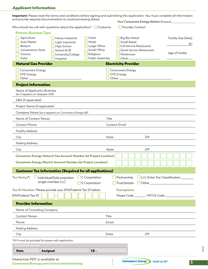# Applicant Information

| Important: Please read the terms and conditions before signing and submitting this application. You must complete all information<br>and provide required documentation to avoid processing delays. |                                                                                                       |                                                                                |                                                        | Your Consumers Energy Advisor (if known)__________                                  |                                                            |
|-----------------------------------------------------------------------------------------------------------------------------------------------------------------------------------------------------|-------------------------------------------------------------------------------------------------------|--------------------------------------------------------------------------------|--------------------------------------------------------|-------------------------------------------------------------------------------------|------------------------------------------------------------|
| Who should we call with questions about the application? $\Box$ Customer                                                                                                                            |                                                                                                       |                                                                                |                                                        | Provider Contact                                                                    |                                                            |
| <b>Primary Business Type</b><br>Agriculture<br>Auto Repair<br>Biotech<br>Convenience Store<br>Grocery<br>Data                                                                                       | Heavy Industrial<br>Light Industrial<br>High School<br>School (K-8)<br>University/College<br>Hospital | Hotel<br>Motel<br>Large Office<br>Small Office<br>Religious<br>Public Assembly | Small Retail<br>Warehouse<br>Other_                    | <b>Big Box Retail</b><br><b>Full Service Restaurant</b><br>Quick Service Restaurant | Facility Size (Area)<br>ft <sup>2</sup><br>Age of Facility |
| <b>Natural Gas Provider</b>                                                                                                                                                                         |                                                                                                       |                                                                                | <b>Electricity Provider</b>                            |                                                                                     |                                                            |
| <b>Consumers Energy</b><br><b>DTE Energy</b><br>Other_                                                                                                                                              |                                                                                                       |                                                                                | <b>Consumers Energy</b><br><b>DTE</b> Energy<br>Other_ |                                                                                     |                                                            |
| <b>Project Information</b>                                                                                                                                                                          |                                                                                                       |                                                                                |                                                        |                                                                                     |                                                            |
| Name of Applicant's Business<br>(as it appears on taxpayer ID#)                                                                                                                                     |                                                                                                       |                                                                                |                                                        |                                                                                     |                                                            |
| DBA (if applicable)                                                                                                                                                                                 |                                                                                                       |                                                                                |                                                        |                                                                                     |                                                            |
| Project Name (if applicable)                                                                                                                                                                        |                                                                                                       |                                                                                |                                                        |                                                                                     |                                                            |
| Company Name (as it appears on Consumers Energy bill)                                                                                                                                               |                                                                                                       |                                                                                |                                                        |                                                                                     |                                                            |
| Name of Contact Person                                                                                                                                                                              |                                                                                                       | Title                                                                          |                                                        |                                                                                     |                                                            |
| Contact Phone                                                                                                                                                                                       |                                                                                                       |                                                                                | <b>Contact Email</b>                                   |                                                                                     |                                                            |
| <b>Facility Address</b>                                                                                                                                                                             |                                                                                                       |                                                                                |                                                        |                                                                                     |                                                            |
| City                                                                                                                                                                                                |                                                                                                       |                                                                                | State                                                  | <b>ZIP</b>                                                                          |                                                            |
| <b>Mailing Address</b>                                                                                                                                                                              |                                                                                                       |                                                                                |                                                        |                                                                                     |                                                            |
| City                                                                                                                                                                                                |                                                                                                       |                                                                                | State                                                  | <b>ZIP</b>                                                                          |                                                            |
| <b>Consumers Energy Natural Gas Account Number (at Project Location)</b>                                                                                                                            |                                                                                                       |                                                                                |                                                        |                                                                                     |                                                            |
| <b>Consumers Energy Electric Account Number (at Project Location)</b>                                                                                                                               |                                                                                                       |                                                                                |                                                        |                                                                                     |                                                            |
| <b>Customer Tax Information (Required for all applications)</b>                                                                                                                                     |                                                                                                       |                                                                                |                                                        |                                                                                     |                                                            |
| <b>Tax Status</b> :<br>Individual/Sole proprietor<br>single-member LLC                                                                                                                              |                                                                                                       | $\Box$ C Corporation<br>S Corporation                                          | Partnership<br>Trust/estate                            | LLC Enter Tax Classification_<br>$\overline{\phantom{a}1}$ Other                    |                                                            |
| Tax ID Number: Please provide your EIN/Federal Tax ID below.<br>EIN/Federal Tax ID                                                                                                                  |                                                                                                       |                                                                                | <b>Exemptions:</b>                                     | Payee Code____________ FATCA Code ____                                              |                                                            |
| <b>Provider Information</b>                                                                                                                                                                         |                                                                                                       |                                                                                |                                                        |                                                                                     |                                                            |
| Name of Consulting Company                                                                                                                                                                          |                                                                                                       |                                                                                |                                                        |                                                                                     |                                                            |
| <b>Contact Person</b>                                                                                                                                                                               |                                                                                                       | Title                                                                          |                                                        |                                                                                     |                                                            |
| Phone                                                                                                                                                                                               |                                                                                                       | Email                                                                          |                                                        |                                                                                     |                                                            |
| <b>Mailing Address</b>                                                                                                                                                                              |                                                                                                       |                                                                                |                                                        |                                                                                     |                                                            |
| City                                                                                                                                                                                                |                                                                                                       | State                                                                          |                                                        | <b>ZIP</b>                                                                          |                                                            |
| *W-9 must be provided for payee with application.                                                                                                                                                   |                                                                                                       |                                                                                |                                                        |                                                                                     |                                                            |
| For internal use only<br><b>Date</b><br>Assigned                                                                                                                                                    |                                                                                                       | CE-                                                                            |                                                        |                                                                                     |                                                            |
| Interactive PDF is available at                                                                                                                                                                     |                                                                                                       |                                                                                |                                                        | <b>Concumore Enormu</b>                                                             |                                                            |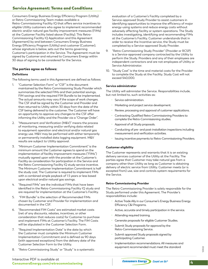## Service Agreement: Terms and Conditions

Consumers Energy Business Energy Efficiency Program (Utility) or Retro-Commissioning Team makes available a Retro-Commissioning Facility IQ that offers service incentives to eligible Utility customers who agree to implement recommended electric and/or natural gas facility improvement measures (FIMs) at the Customer Facility listed above (Facility). This Retro-Commissioning Facility IQ Application and this Agreement (Agreement) by and between Consumers Energy Business Energy Efficiency Program (Utility) and customer (Customer), whose signature is below, sets out the terms governing Customer's participation in the Service. The Agreement must be signed by Customer and returned to Consumers Energy within 30 days of signing to be considered for the Service.

#### **The parties agree as follows:**

#### **Definitions**

The following terms used in this Agreement are defined as follows:

- 1. "Customer Selection Form" or "CSF" is the document maintained by the Retro-Commissioning Study Provider which summarizes the selected FIMs and their potential savings, FIM savings and the required FIM Bundle to be implemented. The actual amounts may vary if the scope of work changes. The CSF shall be signed by the Customer and Provider and then returned to Utility within 30 days from the date of the CSF being delivered to the customer. The Customer will have an opportunity to approve any changes to the CSF after informing the Utility and the Provider via a "Change Order".
- 2. "Measurement and Verification (M&V)" means the process of monitoring, measuring and/or verifying data related to equipment operation and electrical and/or natural gas energy use. M&V may be performed with either temporarily or permanently installed data logging equipment. M&V results are subject to Utility approval.
- 3. "Minimum Customer Implementation Commitment" is the minimum amount the Customer agrees to spend on the implementation of facility improvement measures ("FIMs") mutually agreed upon with the provider at the Customer's Facility as consideration for participation in the Service and the Retro-Commissioning Facility IQ study service incentive. The Minimum Customer Implementation Commitment is half the study cost. The Customer is required to implement FIMs with a combined simple payback of 1.5 years or less based upon electrical and/or natural gas savings.
- 4. "Required FIMs" are the individual FIMs that have been identified in the Retro-Commissioning Facility IQ study and are required for implementation at the Customer's Facility.
- 5. "FIM Bundle" is the selection of Recommended FIMs chosen by Customer and Provider for implementation and documented in the CSF.
- 6. "Recommended FIM Costs" are estimated market costs (net of any discounts, rebates, incentives, or other consideration that reduces costs) for Customer to purchase and implement FIMs at Customer's Facility. The FIM Costs will be stipulated in the Customer Selection Form.
- 7. "Required Implementation Date" is the date by which the Customer must complete the Minimum Customer Implementation Commitment and is defined as 90 days (with approved exceptions) from the delivery date of the Customer Selection Form to the Utility.
- 8. "Retro-Commissioning Study" or "Study" is a systematic

evaluation of a Customer's Facility completed by a Service-approved Study Provider to assist customers in identifying opportunities to improve the efficiency of major energy-using systems and reduce energy costs without adversely affecting facility or system operations. The Study includes investigating, identifying and recommending FIMs at the Customer's Facility. Customer understands that in order to receive the Incentive service, the Study must be completed by a Service-approved Study Provider.

- 9. "Retro-Commissioning Study Provider" (Provider or RCSP) is a Service-approved company contracted by the Utility to perform the Study. Providers and any of their employees are independent contractors and are not employees of Utility or Service Administrator.
- 10. "Study Cost" is the time and material costs for the Provider to complete the Study at the Facility. Study Cost will not exceed \$40,000.

#### **Service administrator**

The Utility will administer the Service. Responsibilities include, but not limited to, such activities as:

- Service administration.
- Marketing and project service development.
- Review, processing and approval of customer applications.
- Contracting Qualified Retro-Commissioning Providers to complete the Retro-Commissioning studies.
- Approval of all Study proposals.
- Conducting of pre- and post-installation inspections including measurement and verification activities.
- Issuing incentive payments to Retro-Commissioning Providers.

#### **Customer eligibility**

The Customer represents and warrants that it is an existing delivery services customer of the Utility at the Facility. The parties agree that Customer may take natural gas from a company other than Utility as long as Customer is obtaining delivery of electric service from Utility. Customer meets (or is excepted from) use, size and controls system requirements for the Service.

#### **Retro-Commissioning Provider**

The Retro-Commissioning Provider is solely responsible for the Study performed under this Agreement. The Provider's responsibilities include:

- Active Trade Ally in our Consumer's Energy Business Energy Efficiency C&I Programs.
- Active, accurate and timely participation in the service.
- Attending required training.
- Generate proposals for eligible Customer Studies.
- Submit Study proposals for approval by the Retro-Commissioning Service.
- Submit approved Study proposals signed by participating Customer.
- Implementation recommendations. All measures and equipment recommended must meet the standard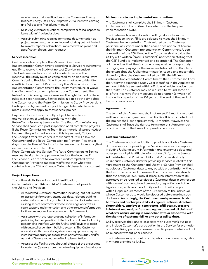requirements and specifications in the Consumers Energy Business Energy Efficiency Programs 2020 Incentive Catalog and Policies and Procedures manual.

- Resolving customer questions, complaints or failed inspection items within 14 calendar days.
- Assist in submitting required forms and documentation at project implementation completion (including but not limited to invoices, reports, calculations, implementation plans and specification sheets, upon request).

#### **Service incentive**

Customers who complete the Minimum Customer Implementation Commitment according to Service requirements qualify to receive the Study at no cost (Service Incentive). The Customer understands that in order to receive the Incentive, the Study must be completed by an approved Retro-Commissioning Provider. If the Provider is not able to identify a sufficient number of FIMs to satisfy the Minimum Customer Implementation Commitment, the Utility may reduce or waive the Minimum Customer Implementation Commitment. The Retro-Commissioning Service reserves the right to modify these rules as it sees necessary. Service rules in place at the time that the Customer and the Retro-Commissioning Study Provider signs Participation Agreement and/or Change Order, whichever is more current, will apply to that specific project.

Payment of incentives is strictly subject to completion and verification of work in accordance with the Retro-Commissioning Service rules. The Retro-Commissioning Service shall conduct a post inspection of all completed projects. If the Retro-Commissioning Team finds material discrepancy(ies) between the performed work and this Agreement, CSF, or the Change Order, whichever is most current, it will allow the Customer and the Retro-Commissioning Provider 14 calendar days from the time of Notification to remove the discrepancy(ies) in a manner acceptable to the

Retro-Commissioning Service. The Retro-Commissioning Service reserves the right to disapprove and reduce the incentive if the Service rules are not followed or if work completed by the Customer or Provider is materially different than what was contained on the CSF or Change Order, whichever is most current.

#### **Project inspections**

To confirm eligibility and support identification, implementation of FIMs and M&V, Customer shall provide the Utility and Providers:

- All requested Customer information including, but not limited to, account information, energy use data, relevant building systems documentation, contact information for Customer's existing service contractors whose knowledge or activities could support implementation and other relevant information for the completion of services under this Agreement.
- Assistance with the reporting and collection of information pertaining to the operation of the Facility and time for Facility personnel to interface with the Utility and Provider to assist with data collection from building systems. The Customer understands that monitoring devices or equipment may be installed temporarily at its facility as part of the Study and/or as part of Service evaluation after implementation.
- Access to the Facility throughout all phases of the project and for up to five (5) years from the date of equipment installation.

#### **Minimum customer implementation commitment**

The Customer shall complete the Minimum Customer Implementation Commitment no later than the Required Implementation Date.

The Customer has sole discretion with guidance from the Provider as to which FIMs are selected to meet the Minimum Customer Implementation. Costs related to the Customer personnel assistance under the Service does not count toward the Minimum Customer Implementation Commitment. Upon completion of the CSF Bundle, the Customer shall provide the Utility with written (email is sufficient) notification stating that the CSF Bundle is implemented and operational. The Customer acknowledges that the Customer is responsible for separately arranging and paying for the implementation of CSF Bundle. To the extent that the Utility determines (in its sole and reasonable discretion) that the Customer failed to fulfill the Minimum Customer Implementation Commitment, the Customer shall pay the Utility the expended Study Cost identified in the Application section of this Agreement within 60 days of written notice from the Utility. The Customer may be required to refund some or all of the Incentive if the measures do not remain (or were not) installed for a period of five (5) years or the end of the product life, whichever is less.

#### **Agreement term**

The term of this Agreement shall not exceed 12 months without written exception agreement of all Parties. It is anticipated that the project shall last approximately 12 months. However, the Customer shall have the right to terminate this Agreement at any time up until the time of proposal acceptance.

#### **Customer information**

The Customer authorizes Utility to provide applicable Customer data necessary for providing the Service's services and support, including Utility account information and energy use data and other personally-identifiable information ("PII"), to the Service Administrator and Provider. Utility and Provider shall only utilize such Customer data for providing services related to this Agreement to the Customer and Utility or Service Provider shall not disclose Customer data to any outside organization without the Customer's consent. However, the Customer understands that the Utility or RCSP may disclose such information to its attorneys or be required to disclose Customer data in connection with law enforcement, fraud prevention, regulation and other legal action; in those cases, Utility and RCSP will comply with all legal requirements of the jurisdiction of the individual whose Customer data would be disclosed before making such disclosure. **Accordingly, the Customer hereby releases, holds harmless and discharges utility, its agents, officers, directors, shareholders, employees, contractors, affiliates, successors in interest and assigns from and against any and all claims of whatever nature arising in connection with or associated with the sharing of customer bill or any other utility data.**

Utility reserves the right to associate with customer's business and include Customer's participation in the Service for promotion and advertising purposes however, specific project details will not be released without prior consent.

The Customer may opt out of such publication or any recognition in writing provided to Utility.

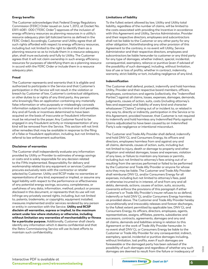#### **Energy benefits**

The Customer acknowledges that Federal Energy Regulatory Commission (FERC) Order issued on June 1, 2012, at Docket No. ER11-4081- 000 ("FERC Order") approves of the inclusion of energy efficiency resources as planning resources in a utility's resource adequacy plan (all italicized terms as defined in the FERC Order). Accordingly, Customer and Utility agree that all such rights afforded with respect to energy efficiency resources, including but not limited to the right to identify them as a planning resource so as to include them in a resource adequacy plan, shall inure exclusively and fully to Utility. The Customer agrees that it will not claim ownership in such energy efficiency resources for purposes of identifying them as a planning resource in accord with the FERC Order or include them in a resource adequacy plan.

#### **Fraud**

The Customer represents and warrants that it is eligible and authorized to participate in the Service and that Customer's participation in the Service will not result in the violation or breach by Customer of law, Customer's contractual obligations, or other duties to or rights of any third party. Any person who knowingly files an application containing any materially false information or who purposely or misleadingly conceals information subjects such person to criminal and civil penalties. Any and all funds or incentives determined to have been acquired on the basis of inaccurate or fraudulent information must be returned to the payer. Any Customer found to be engaged in any fraudulent activity or misrepresentation of any kind will be removed from the Service. This section will not limit other remedies that may be available in response to the filing of a false or fraudulent application, including, but not limited to, referral to law enforcement authorities.

#### **Disclaimer of warranties**

The Customer shall independently evaluate any information provided by Utility or Provider to estimates of energy savings or costs and is solely responsible for any decision related to the FIMs implemented. Responsibility for delivery and workmanship related to any equipment or services Customer procures exclusively rests with the contractor or retailer selected by Customer. Utility and RCSP make no warranties or representations of any kind, expressed or implied, or assume any legal liability with respect to the performance or effectiveness of any potential energy savings, accuracy, completeness, or usefulness of any data, information, method, product or process disclosed in this document, or represents that its use will not infringe any privately owned rights, including, but not limited to, patents, trademarks, or copyrights, equipment installed, measures implemented and/or services rendered by any person or entity in connection with the Service. **Utility and RCSP disclaim all warranties, express or implied, to the maximum extent under law where statutory or otherwise, including without limitation any warranties of merchantability or fitness for a particular purpose.** Additionally, Customer shall clearly identify any information which it deems confidential and that the Retro-Commissioning Service will use its best efforts to maintain such confidentiality.

#### **Limitations of liability**

To the fullest extent allowed by law, Utility and Utility total liability, regardless of the number of claims, will be limited to the costs associated with providing the Incentive in accordance with this Agreement and Utility, Service Administrator, Provider and their respective directors, employees and subcontractors shall not be liable to the Customer or any other party for any other obligation. Notwithstanding any other provision of this Agreement to the contrary, in no event will Utility, Service Administrator and their respective directors, employees and subcontractors be liable hereunder to customer or any third party for any type of damages, whether indirect, special, incidental, consequential, exemplary, reliance or punitive (even if advised of the possibility of such damages), including, without limitation, loss of use or loss of profits, whether in contract, indemnity, warranty, strict liability or tort, including negligence of any kind.

#### **Indemnification**

The Customer shall defend, protect, indemnify and hold harmless Utility, Provider and their respective board members, officers, employees, contractors and agents (collectively, the "Indemnified Parties") against all claims, losses, expenses, damages, demands, judgments, causes of action, suits, costs (including attorney's fees and expenses) and liability of every kind and character whatsoever ("Claims") arising out of or incident to, or related in any way to, directly or indirectly, participation in the Service or to this Agreement; provided however, that Customer is not required to indemnify and hold harmless any Indemnified Party against Claims adjudicated to have been caused by an Indemnified Party's sole negligence or intentional misconduct.

The Customer and Trade Ally Provider shall defend, indemnify and hold DNV GL and Consumers Energy, its officers and directors, employees harmless from and against any and all claims, demands, causes of action, suits, including but not limited to injury, death or damage to property and other litigation and related damages, losses and expenses, violation of any laws, or failure to maintain any licenses or permits, including but not limited to attorney's fees arising out of or resulting from the services performed or failed to be performed by the Customer and Trade Ally Provider or anyone for whose acts they may be liable. The Customer and Trade Ally Provider shall reimburse DNV GL and/or Consumers Energy for all expenses, including but not limited to attorney's fees, paid or otherwise incurred to in interest, of and from any and all debts, demands, actions, causes of action, suits, accounts, covenants enforce the provisions of this paragraph if either Customer's or Trade Ally Provider's insurer refuses to so defend, indemnify or hold DNV GL and/or Consumers Energy harmless as provided above. The Customer and Trade Ally Provider hereby unconditionally and irrevocably releases and forever discharges, to the fullest extent permitted by applicable law, DNV GL and Consumers Energy, its officers, directors, employees, agents, representatives, assigns, affiliates, parents, subsidiaries and successors, contracts, agreements, damages and any and all claims, demands and liabilities arising in relation to this Agreement or the work of Trade Ally Provider hereunder. In no event shall DNV GL or Consumers Energy be liable to the Customer or Trade Ally Provider for any consequential, indirect, exemplary, special, incidental or punitive damages including, without limitation, lost profits, even if such damages are foreseeable or the damaged party has been advised of the possibility of such damages and regardless of whether any such damages are deemed to result from the failure or inadequacy of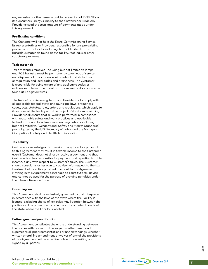any exclusive or other remedy and, in no event shall DNV GL's or its Consumers Energy's liability to the Customer or Trade Ally Provider exceed the total amount of payments made under this Agreement.

#### **Pre-Existing conditions**

The Customer will not hold the Retro-Commissioning Service, its representatives or Providers, responsible for any pre-existing problems at the facility, including, but not limited to, toxic or hazardous materials found at the facility, roof leaks or other structural problems.

#### **Toxic materials**

Toxic materials removed, including but not limited to lamps and PCB ballasts, must be permanently taken out of service and disposed of in accordance with federal and state laws or regulation and local codes and ordinances. The Customer is responsible for being aware of any applicable codes or ordinances. Information about hazardous waste disposal can be found at Epa.gov/wastes.

The Retro-Commissioning Team and Provider shall comply with all applicable federal, state and municipal laws, ordinances, codes, acts, statutes, rules, orders and regulations, which apply to its actions at the facility or to the project. Retro-Commissioning Provider shall ensure that all work is performed in compliance with reasonable safety and work practices and applicable federal, state and local laws, rules and regulations, including but not limited to, "Occupational Safety and Health Standards" promulgated by the U.S. Secretary of Labor and the Michigan Occupational Safety and Health Administration.

#### **Tax liability**

Customer acknowledges that receipt of any incentive pursuant to this Agreement may result in taxable income to the Customer, even if Customer does not directly receive a payment and that Customer is solely responsible for payment and reporting taxable income, if any, with respect to Customer's taxes. The Customer should consult his or her own tax advisor with respect to the tax treatment of Incentive provided pursuant to this Agreement. Nothing in this Agreement is intended to constitute tax advice and cannot be used for the purpose of avoiding penalties under the Internal Revenue Code.

#### **Governing law**

This Agreement shall be exclusively governed by and interpreted in accordance with the laws of the state where the Facility is located, excluding choice of law rules. Any litigation between the parties shall be prosecuted only in the state or federal courts of the state where the Facility is located.

#### **Entire agreement/modification**

This Agreement constitutes the entire understanding between the parties with respect to the subject matter hereof and supersedes all prior representations or understandings, whether written or oral. No amendment or waiver of any of the provisions of this Agreement will be effective unless it is in writing and signed by all parties.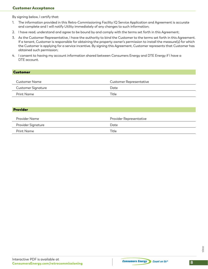## Customer Acceptance

By signing below, I certify that:

- 1. The information provided in this Retro-Commissioning Facility IQ Service Application and Agreement is accurate and complete and I will notify Utility immediately of any changes to such information;
- 2. I have read, understand and agree to be bound by and comply with the terms set forth in this Agreement;
- 3. As the Customer Representative, I have the authority to bind the Customer to the terms set forth in this Agreement. If a tenant, Customer is responsible for obtaining the property owner's permission to install the measure(s) for which the Customer is applying for a service incentive. By signing this Agreement, Customer represents that Customer has obtained such permission;
- 4. I consent to having my account information shared between Consumers Energy and DTE Energy if I have a DTE account.

### Customer

| Customer Name      | <b>Customer Representative</b> |
|--------------------|--------------------------------|
| Customer Signature | Date                           |
| Print Name         | Title                          |

#### Provider

| Provider Name      | Provider Representative |
|--------------------|-------------------------|
| Provider Signature | Date                    |
| Print Name         | Title                   |

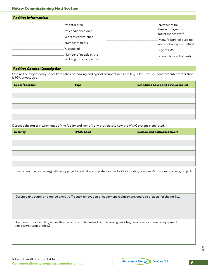| <b>Facility Information</b>                          |                                        |
|------------------------------------------------------|----------------------------------------|
| .ft², total area                                     | Number of full                         |
| .ft <sup>2</sup> , conditioned area                  | time employees on<br>maintenance staff |
| Years of construction                                | Manufacturer of building               |
| Number of floors                                     | automation system (BAS)                |
| % occupied                                           | Age of BAS                             |
| Number of people in the<br>building 8+ hours per day | Annual hours of operation              |

### Facility General Description

Outline the major facility space types, their scheduling and typical occupant densities (e.g. 10,000 ft², 24-hour computer center that is 95% unoccupied).

| <b>Space/Location</b> | <b>Type</b> | Scheduled hours and days occupied |
|-----------------------|-------------|-----------------------------------|
|                       |             |                                   |
|                       |             |                                   |
|                       |             |                                   |
|                       |             |                                   |
|                       |             |                                   |
|                       |             |                                   |

Describe the major interior loads of the facility and identify any that dictate how the HVAC system is operated.

| <b>Activity</b> | <b>HVAC Load</b> | <b>Season and estimated hours</b> |
|-----------------|------------------|-----------------------------------|
|                 |                  |                                   |
|                 |                  |                                   |
|                 |                  |                                   |
|                 |                  |                                   |
|                 |                  |                                   |
|                 |                  |                                   |

Briefly describe past energy-efficiency projects or studies completed for the facility, including previous Retro-Commissioning projects.

Describe any currently planned energy efficiency, renovation or equipment replacement/upgrade projects for the facility.

Are there any scheduling issues that could affect the Retro-Commissioning work (e.g., major renovations or equipment replacements/upgrades)?

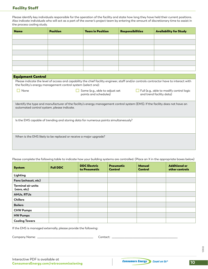## Facility Staff

Please identify key individuals responsible for the operation of the facility and state how long they have held their current positions. Also indicate individuals who will act as a part of the owner's project team by entering the amount of discretionary time to assist in the process cooling study.

| <b>Name</b> | <b>Position</b> | <b>Years in Position</b> | Responsibilities | <b>Availability for Study</b> |
|-------------|-----------------|--------------------------|------------------|-------------------------------|
|             |                 |                          |                  |                               |
|             |                 |                          |                  |                               |
|             |                 |                          |                  |                               |
|             |                 |                          |                  |                               |
|             |                 |                          |                  |                               |
|             |                 |                          |                  |                               |
|             |                 |                          |                  |                               |

| <b>Equipment Control</b>                                                                                                                                                                                |                                                         |                                                                      |  |  |
|---------------------------------------------------------------------------------------------------------------------------------------------------------------------------------------------------------|---------------------------------------------------------|----------------------------------------------------------------------|--|--|
| Please indicate the level of access and capability the chief facility engineer, staff and/or controls contractor have to interact with<br>the facility's energy management control system (select one): |                                                         |                                                                      |  |  |
| None                                                                                                                                                                                                    | Some (e.g., able to adjust set<br>points and schedules) | Full (e.g., able to modify control logic<br>and trend facility data) |  |  |
| Identify the type and manufacturer of the facility's energy management control system (EMS). If the facility does not have an<br>automated control system, please indicate.                             |                                                         |                                                                      |  |  |
| Is the EMS capable of trending and storing data for numerous points simultaneously?                                                                                                                     |                                                         |                                                                      |  |  |
| When is the EMS likely to be replaced or receive a major upgrade?                                                                                                                                       |                                                         |                                                                      |  |  |

Please complete the following table to indicate how your building systems are controlled. (Place an X in the appropriate boxes below)

| <b>System</b>                            | <b>Full DDC</b> | <b>DDC Electric</b><br>to Pneumatic | <b>Pneumatic</b><br><b>Control</b> | <b>Manual</b><br><b>Control</b> | <b>Additional or</b><br>other controls |
|------------------------------------------|-----------------|-------------------------------------|------------------------------------|---------------------------------|----------------------------------------|
| Lighting                                 |                 |                                     |                                    |                                 |                                        |
| Fans (exhaust, etc)                      |                 |                                     |                                    |                                 |                                        |
| <b>Terminal air units</b><br>(vavs, etc) |                 |                                     |                                    |                                 |                                        |
| <b>AHUs, RTUs</b>                        |                 |                                     |                                    |                                 |                                        |
| <b>Chillers</b>                          |                 |                                     |                                    |                                 |                                        |
| <b>Boilers</b>                           |                 |                                     |                                    |                                 |                                        |
| <b>CHW Pumps</b>                         |                 |                                     |                                    |                                 |                                        |
| <b>HW Pumps</b>                          |                 |                                     |                                    |                                 |                                        |
| <b>Cooling Towers</b>                    |                 |                                     |                                    |                                 |                                        |

If the EMS is managed externally, please provide the following:

Company Name: \_\_\_\_\_\_\_\_\_\_\_\_\_\_\_\_\_\_\_\_\_\_\_\_\_\_\_\_\_\_\_\_\_\_\_\_\_\_\_\_ Contact: \_\_\_\_\_\_\_\_\_\_\_\_\_\_\_\_\_\_\_\_\_\_\_\_\_\_\_\_\_\_\_\_\_\_\_\_\_\_\_\_\_\_\_\_\_\_\_

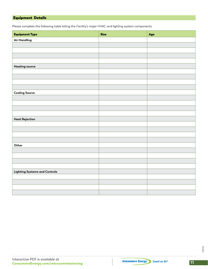# Equipment Details

Please complete the following table listing the Facility's major HVAC and lighting system components.

| <b>Equipment Type</b>                | <b>Size</b> | Age |
|--------------------------------------|-------------|-----|
| <b>Air Handling</b>                  |             |     |
|                                      |             |     |
|                                      |             |     |
|                                      |             |     |
|                                      |             |     |
| <b>Heating source</b>                |             |     |
|                                      |             |     |
|                                      |             |     |
|                                      |             |     |
|                                      |             |     |
| <b>Cooling Source</b>                |             |     |
|                                      |             |     |
|                                      |             |     |
|                                      |             |     |
|                                      |             |     |
| Heat Rejection                       |             |     |
|                                      |             |     |
|                                      |             |     |
|                                      |             |     |
|                                      |             |     |
| Other                                |             |     |
|                                      |             |     |
|                                      |             |     |
|                                      |             |     |
|                                      |             |     |
| <b>Lighting Systems and Controls</b> |             |     |
|                                      |             |     |
|                                      |             |     |
|                                      |             |     |
|                                      |             |     |

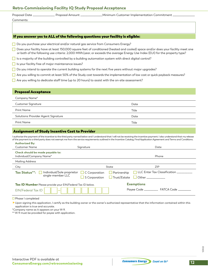## **Retro-Commissioning Facility IQ Study Proposal Acceptance**

| Proposal Date | Proposal Amount | $\_$ Minimum Customer Implementation Commitment $\_$ |
|---------------|-----------------|------------------------------------------------------|
|               |                 |                                                      |

#### If you answer yes to ALL of the following questions your facility is eligible:

- Do you purchase your electrical and/or natural gas service from Consumers Energy?
- □ Does your facility have at least 150,000 square feet of conditioned (heated and cooled) space and/or does your facility meet one or both of the following use criteria: 2,000 MWh/year, or exceeds the average Energy Use Index (EUI) for the property type?
- $\Box$  Is a majority of the building controlled by a building automation system with direct digital control?
- $\Box$  Is your facility free of major maintenance issues?
- □ Do you intend to operate the current building systems for the next five years without major upgrades?
- Are you willing to commit at least 50% of the Study cost towards the implementation of low cost or quick payback measures?
- $\Box$  Are you willing to dedicate staff time (up to 20 hours) to assist with the on-site assessment?

#### Proposal Acceptance

Comments:

| Company Name*                      |       |
|------------------------------------|-------|
| <b>Customer Signature</b>          | Date  |
| Print Name                         | Title |
| Solutions Provider Agent Signature | Date  |
| Print Name                         | Title |

#### Assignment of Study Incentive Cost to Provider

I authorize the payment of the incentive to the third party named below and I understand that I will not be receiving the incentive payment. I also understand that my release of the payment to a third party does not exempt me from the service requirements outlined in the Incentive Catalog, Final Application Agreement and Terms and Conditions.

| <b>Authorized By:</b>                                                   |                                      |                                            |
|-------------------------------------------------------------------------|--------------------------------------|--------------------------------------------|
| Customer Name                                                           | Signature                            | Date                                       |
| Check should be made payable to:                                        |                                      |                                            |
| Individual/Company Name*                                                |                                      | Phone                                      |
| Mailing Address                                                         |                                      |                                            |
| City                                                                    | State                                | ZIP                                        |
| Individual/Sole proprietor<br><b>Tax Status**:</b><br>single-member LLC | $\Box$ C Corporation<br>Partnership  | $\Box$ LLC Enter Tax Classification $\Box$ |
|                                                                         | $\Box$ Trust/Estate<br>S Corporation | <b>D</b> Other ____________                |
| Tax ID Number Please provide your EIN/Federal Tax ID below.             |                                      | <b>Exemptions</b>                          |
| EIN/Federal Tax ID                                                      |                                      | FATCA Code<br>Payee Code ________          |

 $\square$  Phase I completed

Upon signing this application, I certify as the building owner or the owner's authorized representative that the information contained within this application is true and accurate.

\*Company name as it appears on your W-9.

\*\* W-9 must be provided for payee with application.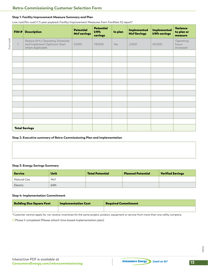#### **Step 1: Facility Improvement Measure Summary and Plan**

Low cost/No cost/<1.5 year payback Facility Improvement Measures from Facilities IQ report\*

|         | FIM#         | <b>Description</b>                                                                | <b>Potential</b><br><b>Mcf savings</b> | <b>Potential</b><br>kWh<br>savings | In plan | <b>Implemented</b><br><b>Mcf Savings</b> | <b>Implemented</b><br><b>kWh savings</b> | Variance<br>to plan or<br>measure |
|---------|--------------|-----------------------------------------------------------------------------------|----------------------------------------|------------------------------------|---------|------------------------------------------|------------------------------------------|-----------------------------------|
| Example | $\mathbf{1}$ | Reduce AHU Operating Schedules<br>and Implement Optimum Start<br>where Applicable | 3,000                                  | 78,000                             | Yes     | 2,000                                    | 65,000                                   | Operating<br>hours<br>increased   |
|         |              |                                                                                   |                                        |                                    |         |                                          |                                          |                                   |
|         |              |                                                                                   |                                        |                                    |         |                                          |                                          |                                   |
|         |              |                                                                                   |                                        |                                    |         |                                          |                                          |                                   |
|         |              |                                                                                   |                                        |                                    |         |                                          |                                          |                                   |
|         |              |                                                                                   |                                        |                                    |         |                                          |                                          |                                   |
|         |              |                                                                                   |                                        |                                    |         |                                          |                                          |                                   |
|         |              |                                                                                   |                                        |                                    |         |                                          |                                          |                                   |
|         |              |                                                                                   |                                        |                                    |         |                                          |                                          |                                   |
|         |              |                                                                                   |                                        |                                    |         |                                          |                                          |                                   |
|         |              |                                                                                   |                                        |                                    |         |                                          |                                          |                                   |
|         |              |                                                                                   |                                        |                                    |         |                                          |                                          |                                   |
|         |              |                                                                                   |                                        |                                    |         |                                          |                                          |                                   |
|         |              |                                                                                   |                                        |                                    |         |                                          |                                          |                                   |
|         |              | <b>Total Savings</b>                                                              |                                        |                                    |         |                                          |                                          |                                   |

#### **Step 2: Executive summary of Retro-Commissioning Plan and Implementation**

#### **Step 3: Energy Savings Summary**

| <b>Service</b> | Unit | <b>Total Potential</b> | <b>Planned Potential</b> | <b>Verified Savings</b> |
|----------------|------|------------------------|--------------------------|-------------------------|
| Natural Gas    | Mcf  |                        |                          |                         |
| Electric       | kWh  |                        |                          |                         |

#### **Step 4: Implementation Commitment**

| <b>Building Size Square Feet</b> | <b>Implementation Cost</b> | <b>Required Commitment</b> |
|----------------------------------|----------------------------|----------------------------|
|                                  |                            |                            |

\*Customer cannot apply for, nor receive, incentives for the same project, product, equipment or service from more than one utility company.

 $\square$  Phase II completed (Please attach time based implementation plan).